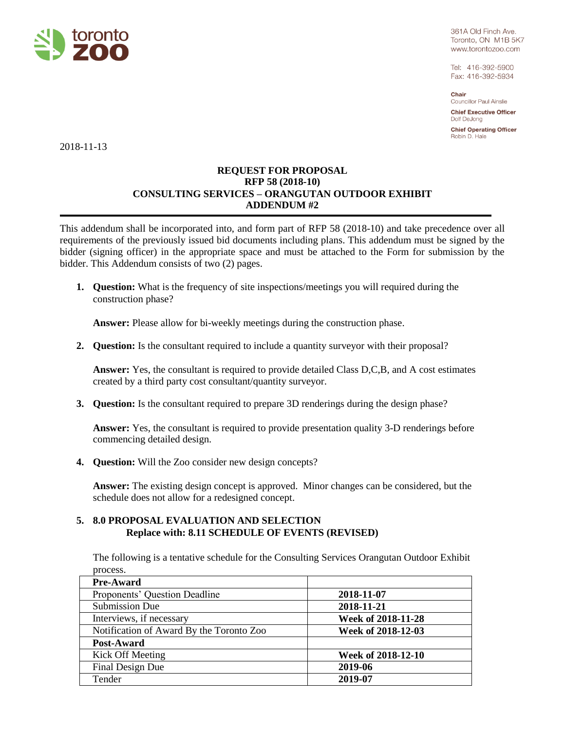

361A Old Finch Ave. Toronto, ON M1B 5K7 www.torontozoo.com

Tel: 416-392-5900 Fax: 416-392-5934

Chair Councillor Paul Ainslie

**Chief Executive Officer** Dolf DeJong

**Chief Operating Officer** Robin D. Hale

2018-11-13

## **REQUEST FOR PROPOSAL RFP 58 (2018-10) CONSULTING SERVICES – ORANGUTAN OUTDOOR EXHIBIT ADDENDUM #2**

This addendum shall be incorporated into, and form part of RFP 58 (2018-10) and take precedence over all requirements of the previously issued bid documents including plans. This addendum must be signed by the bidder (signing officer) in the appropriate space and must be attached to the Form for submission by the bidder. This Addendum consists of two (2) pages.

**1. Question:** What is the frequency of site inspections/meetings you will required during the construction phase?

**Answer:** Please allow for bi-weekly meetings during the construction phase.

**2. Question:** Is the consultant required to include a quantity surveyor with their proposal?

**Answer:** Yes, the consultant is required to provide detailed Class D,C,B, and A cost estimates created by a third party cost consultant/quantity surveyor.

**3. Question:** Is the consultant required to prepare 3D renderings during the design phase?

**Answer:** Yes, the consultant is required to provide presentation quality 3-D renderings before commencing detailed design.

**4. Question:** Will the Zoo consider new design concepts?

**Answer:** The existing design concept is approved. Minor changes can be considered, but the schedule does not allow for a redesigned concept.

## **5. 8.0 PROPOSAL EVALUATION AND SELECTION Replace with: 8.11 SCHEDULE OF EVENTS (REVISED)**

The following is a tentative schedule for the Consulting Services Orangutan Outdoor Exhibit process.

| <b>Pre-Award</b>                         |                    |
|------------------------------------------|--------------------|
| Proponents' Question Deadline            | 2018-11-07         |
| Submission Due                           | 2018-11-21         |
| Interviews, if necessary                 | Week of 2018-11-28 |
| Notification of Award By the Toronto Zoo | Week of 2018-12-03 |
| Post-Award                               |                    |
| Kick Off Meeting                         | Week of 2018-12-10 |
| Final Design Due                         | 2019-06            |
| Tender                                   | 2019-07            |